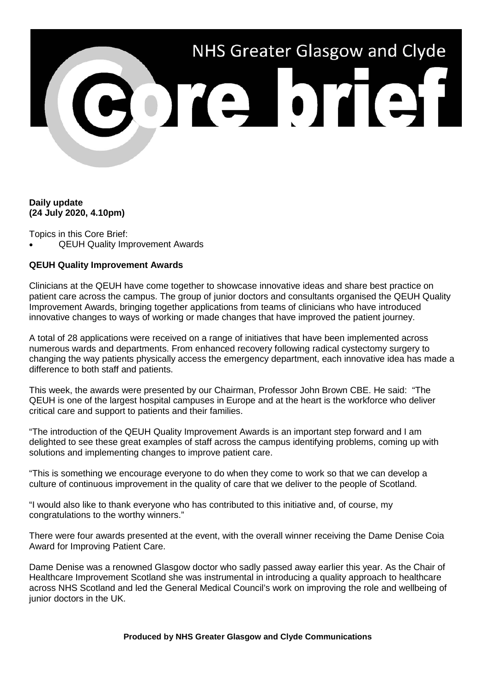

# **Daily update (24 July 2020, 4.10pm)**

Topics in this Core Brief:

• QEUH Quality Improvement Awards

# **QEUH Quality Improvement Awards**

Clinicians at the QEUH have come together to showcase innovative ideas and share best practice on patient care across the campus. The group of junior doctors and consultants organised the QEUH Quality Improvement Awards, bringing together applications from teams of clinicians who have introduced innovative changes to ways of working or made changes that have improved the patient journey.

A total of 28 applications were received on a range of initiatives that have been implemented across numerous wards and departments. From enhanced recovery following radical cystectomy surgery to changing the way patients physically access the emergency department, each innovative idea has made a difference to both staff and patients.

This week, the awards were presented by our Chairman, Professor John Brown CBE. He said: "The QEUH is one of the largest hospital campuses in Europe and at the heart is the workforce who deliver critical care and support to patients and their families.

"The introduction of the QEUH Quality Improvement Awards is an important step forward and I am delighted to see these great examples of staff across the campus identifying problems, coming up with solutions and implementing changes to improve patient care.

"This is something we encourage everyone to do when they come to work so that we can develop a culture of continuous improvement in the quality of care that we deliver to the people of Scotland.

"I would also like to thank everyone who has contributed to this initiative and, of course, my congratulations to the worthy winners."

There were four awards presented at the event, with the overall winner receiving the Dame Denise Coia Award for Improving Patient Care.

Dame Denise was a renowned Glasgow doctor who sadly passed away earlier this year. As the Chair of Healthcare Improvement Scotland she was instrumental in introducing a quality approach to healthcare across NHS Scotland and led the General Medical Council's work on improving the role and wellbeing of junior doctors in the UK.